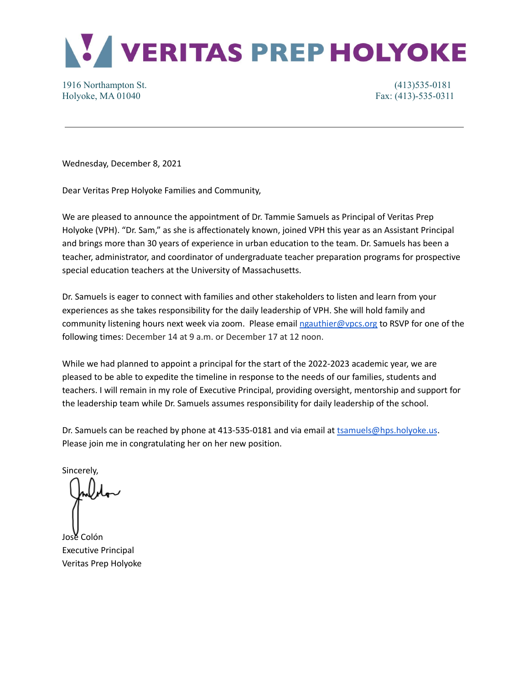

## 1916 Northampton St. (413)535-0181 Holyoke, MA 01040 **Fax:** (413)-535-0311

Wednesday, December 8, 2021

Dear Veritas Prep Holyoke Families and Community,

We are pleased to announce the appointment of Dr. Tammie Samuels as Principal of Veritas Prep Holyoke (VPH). "Dr. Sam," as she is affectionately known, joined VPH this year as an Assistant Principal and brings more than 30 years of experience in urban education to the team. Dr. Samuels has been a teacher, administrator, and coordinator of undergraduate teacher preparation programs for prospective special education teachers at the University of Massachusetts.

Dr. Samuels is eager to connect with families and other stakeholders to listen and learn from your experiences as she takes responsibility for the daily leadership of VPH. She will hold family and community listening hours next week via zoom. Please email [ngauthier@vpcs.org](mailto:ngauthier@vpcs.org) to RSVP for one of the following times: December 14 at 9 a.m. or December 17 at 12 noon.

While we had planned to appoint a principal for the start of the 2022-2023 academic year, we are pleased to be able to expedite the timeline in response to the needs of our families, students and teachers. I will remain in my role of Executive Principal, providing oversight, mentorship and support for the leadership team while Dr. Samuels assumes responsibility for daily leadership of the school.

Dr. Samuels can be reached by phone at 413-535-0181 and via email at [tsamuels@hps.holyoke.us](mailto:tsamuels@hps.holyoke.us). Please join me in congratulating her on her new position.

Sincerely,

José Colón Executive Principal Veritas Prep Holyoke